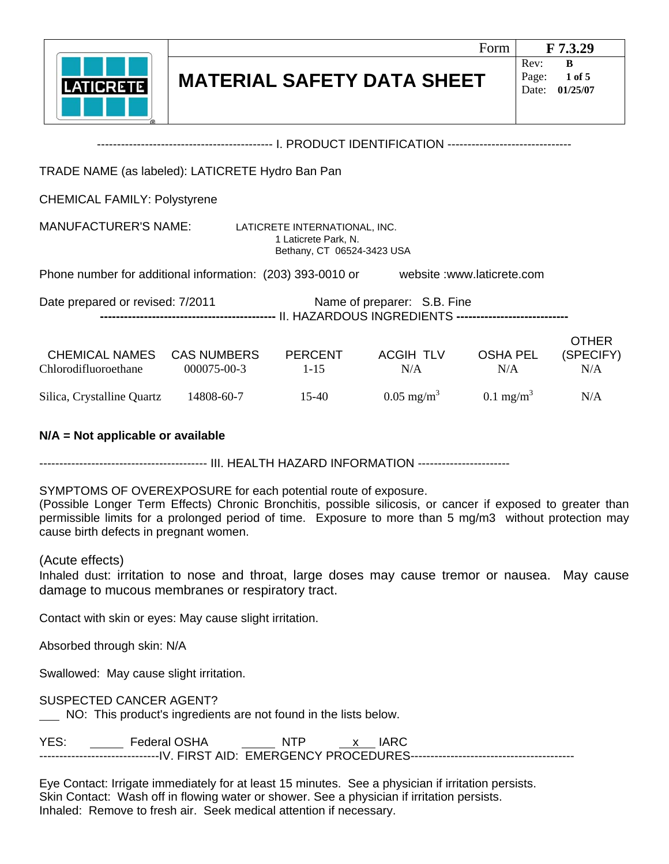|                                                                                       |                                   |                                                                                     |                  | Form                   |                        | F 7.3.29                         |
|---------------------------------------------------------------------------------------|-----------------------------------|-------------------------------------------------------------------------------------|------------------|------------------------|------------------------|----------------------------------|
| <b>LATICRETE</b>                                                                      | <b>MATERIAL SAFETY DATA SHEET</b> |                                                                                     |                  |                        | Rev:<br>Page:<br>Date: | $\bf{B}$<br>1 of 5<br>01/25/07   |
|                                                                                       |                                   |                                                                                     |                  |                        |                        |                                  |
| TRADE NAME (as labeled): LATICRETE Hydro Ban Pan                                      |                                   |                                                                                     |                  |                        |                        |                                  |
| <b>CHEMICAL FAMILY: Polystyrene</b>                                                   |                                   |                                                                                     |                  |                        |                        |                                  |
| <b>MANUFACTURER'S NAME:</b>                                                           |                                   | LATICRETE INTERNATIONAL, INC.<br>1 Laticrete Park, N.<br>Bethany, CT 06524-3423 USA |                  |                        |                        |                                  |
| Phone number for additional information: (203) 393-0010 or website :www.laticrete.com |                                   |                                                                                     |                  |                        |                        |                                  |
| Date prepared or revised: 7/2011<br>Name of preparer: S.B. Fine                       |                                   |                                                                                     |                  |                        |                        |                                  |
| CHEMICAL NAMES<br>Chlorodifluoroethane                                                | <b>CAS NUMBERS</b><br>000075-00-3 | PERCENT<br>$1 - 15$                                                                 | ACGIH TLV<br>N/A | <b>OSHA PEL</b><br>N/A |                        | <b>OTHER</b><br>(SPECIFY)<br>N/A |

## Silica, Crystalline Quartz  $14808-60-7$  15-40  $0.05 \text{ mg/m}^3$  $0.1 \text{ mg/m}^3$

## **N/A = Not applicable or available**

------------------------------------------ III. HEALTH HAZARD INFORMATION -----------------------

SYMPTOMS OF OVEREXPOSURE for each potential route of exposure.

(Possible Longer Term Effects) Chronic Bronchitis, possible silicosis, or cancer if exposed to greater than permissible limits for a prolonged period of time. Exposure to more than 5 mg/m3 without protection may cause birth defects in pregnant women.

N/A

## (Acute effects)

Inhaled dust: irritation to nose and throat, large doses may cause tremor or nausea. May cause damage to mucous membranes or respiratory tract.

Contact with skin or eyes: May cause slight irritation.

Absorbed through skin: N/A

Swallowed: May cause slight irritation.

SUSPECTED CANCER AGENT?

NO: This product's ingredients are not found in the lists below.

| YES: | Federal OSHA | NTF |  |
|------|--------------|-----|--|
|      |              |     |  |

Eye Contact: Irrigate immediately for at least 15 minutes. See a physician if irritation persists. Skin Contact: Wash off in flowing water or shower. See a physician if irritation persists. Inhaled: Remove to fresh air. Seek medical attention if necessary.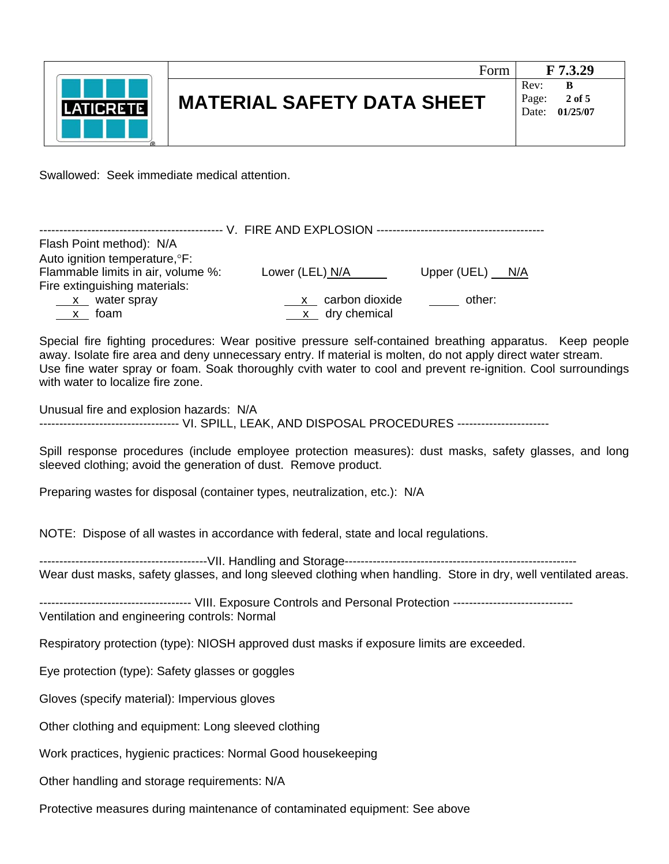

Swallowed: Seek immediate medical attention.

| Flash Point method): N/A<br>Auto ignition temperature, <sup>o</sup> F: |                                                                                            |                   |
|------------------------------------------------------------------------|--------------------------------------------------------------------------------------------|-------------------|
| Flammable limits in air, volume %:<br>Fire extinguishing materials:    | Lower (LEL) $N/A$                                                                          | Upper (UEL) $N/A$ |
| $x$ water spray<br><u>x</u> foam                                       | carbon dioxide<br>$\frac{\mathsf{X}}{\mathsf{X}}$<br>$\underline{\mathbf{x}}$ dry chemical | other:            |
|                                                                        |                                                                                            |                   |

Special fire fighting procedures: Wear positive pressure self-contained breathing apparatus. Keep people away. Isolate fire area and deny unnecessary entry. If material is molten, do not apply direct water stream. Use fine water spray or foam. Soak thoroughly cvith water to cool and prevent re-ignition. Cool surroundings with water to localize fire zone.

Unusual fire and explosion hazards: N/A ---------------------------------- VI. SPILL, LEAK, AND DISPOSAL PROCEDURES ----------------------

Spill response procedures (include employee protection measures): dust masks, safety glasses, and long sleeved clothing; avoid the generation of dust. Remove product.

Preparing wastes for disposal (container types, neutralization, etc.): N/A

NOTE: Dispose of all wastes in accordance with federal, state and local regulations.

------------------------------------------VII. Handling and Storage---------------------------------------------------------- Wear dust masks, safety glasses, and long sleeved clothing when handling. Store in dry, well ventilated areas.

-------------------------------------- VIII. Exposure Controls and Personal Protection ------------------------------ Ventilation and engineering controls: Normal

Respiratory protection (type): NIOSH approved dust masks if exposure limits are exceeded.

Eye protection (type): Safety glasses or goggles

Gloves (specify material): Impervious gloves

Other clothing and equipment: Long sleeved clothing

Work practices, hygienic practices: Normal Good housekeeping

Other handling and storage requirements: N/A

Protective measures during maintenance of contaminated equipment: See above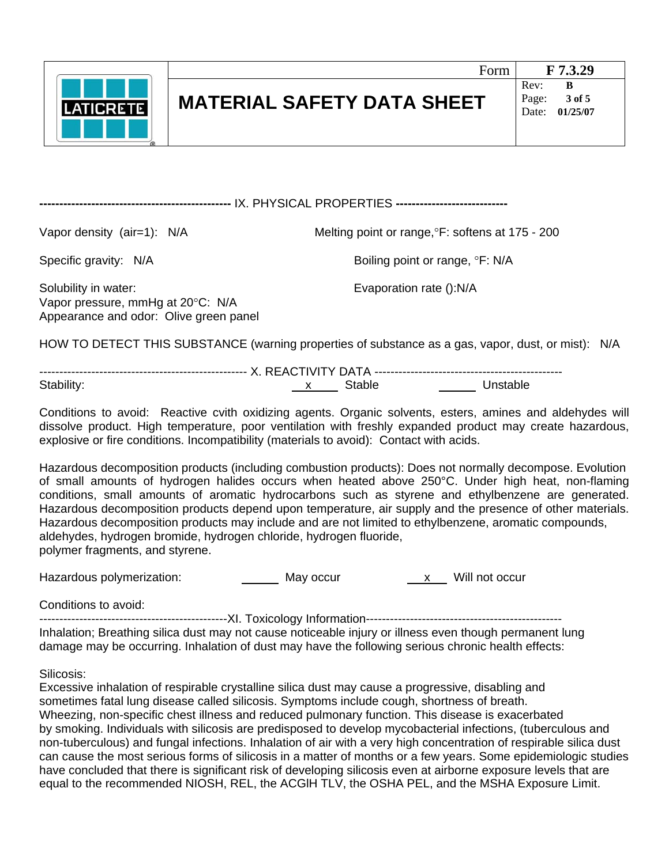

**------------------------------------------------** IX. PHYSICAL PROPERTIES **----------------------------** 

Vapor density (air=1):  $N/A$  Melting point or range,  ${}^{\circ}$ F: softens at 175 - 200

Specific gravity: N/A Boiling point or range,  $\degree$ F: N/A

Solubility in water: Evaporation rate ():N/A Vapor pressure, mmHg at 20°C: N/A Appearance and odor: Olive green panel

HOW TO DETECT THIS SUBSTANCE (warning properties of substance as a gas, vapor, dust, or mist): N/A

---------------------------------------------------- X. REACTIVITY DATA ----------------------------------------------- Stability: Stable Stable Unstable

Conditions to avoid: Reactive cvith oxidizing agents. Organic solvents, esters, amines and aldehydes will dissolve product. High temperature, poor ventilation with freshly expanded product may create hazardous, explosive or fire conditions. Incompatibility (materials to avoid): Contact with acids.

Hazardous decomposition products (including combustion products): Does not normally decompose. Evolution of small amounts of hydrogen halides occurs when heated above 250°C. Under high heat, non-flaming conditions, small amounts of aromatic hydrocarbons such as styrene and ethylbenzene are generated. Hazardous decomposition products depend upon temperature, air supply and the presence of other materials. Hazardous decomposition products may include and are not limited to ethylbenzene, aromatic compounds, aldehydes, hydrogen bromide, hydrogen chloride, hydrogen fluoride, polymer fragments, and styrene.

Hazardous polymerization: May occur National May occurred a May occur will not occur

Conditions to avoid:

-----------------------------------------------XI. Toxicology Information------------------------------------------------- Inhalation; Breathing silica dust may not cause noticeable injury or illness even though permanent lung damage may be occurring. Inhalation of dust may have the following serious chronic health effects:

Silicosis:

Excessive inhalation of respirable crystalline silica dust may cause a progressive, disabling and sometimes fatal lung disease called silicosis. Symptoms include cough, shortness of breath. Wheezing, non-specific chest illness and reduced pulmonary function. This disease is exacerbated by smoking. Individuals with silicosis are predisposed to develop mycobacterial infections, (tuberculous and non-tuberculous) and fungal infections. Inhalation of air with a very high concentration of respirable silica dust can cause the most serious forms of silicosis in a matter of months or a few years. Some epidemiologic studies have concluded that there is significant risk of developing silicosis even at airborne exposure levels that are equal to the recommended NIOSH, REL, the ACGlH TLV, the OSHA PEL, and the MSHA Exposure Limit.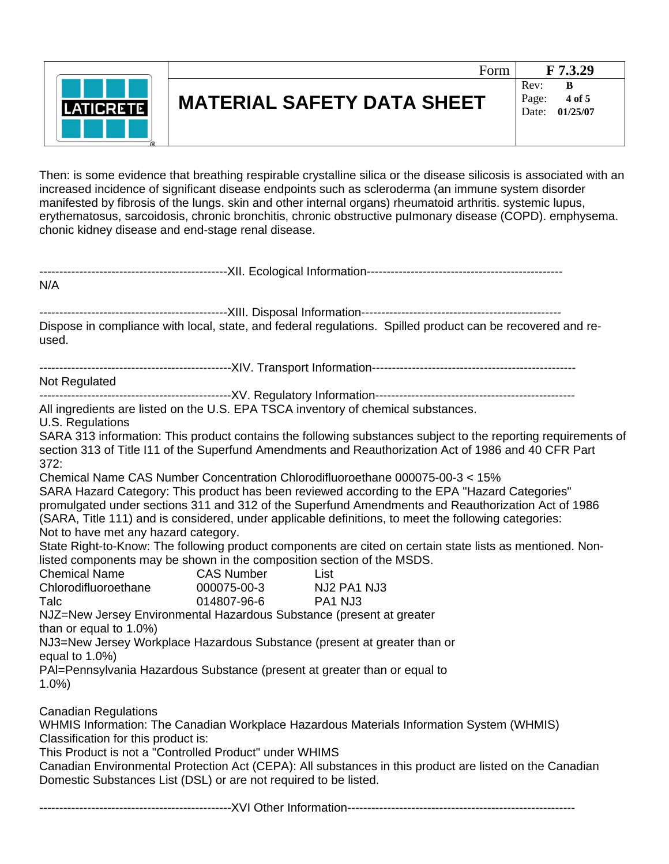

## **MATERIAL SAFETY DATA SHEET**

Date: **01/25/07** 

Then: is some evidence that breathing respirable crystalline silica or the disease silicosis is associated with an increased incidence of significant disease endpoints such as scleroderma (an immune system disorder manifested by fibrosis of the lungs. skin and other internal organs) rheumatoid arthritis. systemic lupus, erythematosus, sarcoidosis, chronic bronchitis, chronic obstructive pulmonary disease (COPD). emphysema. chonic kidney disease and end-stage renal disease.

| N/A                                                                                                |                   |                                                                                                                                                                                                                       |
|----------------------------------------------------------------------------------------------------|-------------------|-----------------------------------------------------------------------------------------------------------------------------------------------------------------------------------------------------------------------|
|                                                                                                    |                   |                                                                                                                                                                                                                       |
| used.                                                                                              |                   | Dispose in compliance with local, state, and federal regulations. Spilled product can be recovered and re-                                                                                                            |
|                                                                                                    |                   |                                                                                                                                                                                                                       |
| Not Regulated                                                                                      |                   |                                                                                                                                                                                                                       |
|                                                                                                    |                   |                                                                                                                                                                                                                       |
| U.S. Regulations                                                                                   |                   | All ingredients are listed on the U.S. EPA TSCA inventory of chemical substances.                                                                                                                                     |
| 372:                                                                                               |                   | SARA 313 information: This product contains the following substances subject to the reporting requirements of<br>section 313 of Title I11 of the Superfund Amendments and Reauthorization Act of 1986 and 40 CFR Part |
|                                                                                                    |                   | Chemical Name CAS Number Concentration Chlorodifluoroethane 000075-00-3 < 15%                                                                                                                                         |
|                                                                                                    |                   | SARA Hazard Category: This product has been reviewed according to the EPA "Hazard Categories"                                                                                                                         |
|                                                                                                    |                   | promulgated under sections 311 and 312 of the Superfund Amendments and Reauthorization Act of 1986                                                                                                                    |
|                                                                                                    |                   | (SARA, Title 111) and is considered, under applicable definitions, to meet the following categories:                                                                                                                  |
| Not to have met any hazard category.                                                               |                   |                                                                                                                                                                                                                       |
|                                                                                                    |                   | State Right-to-Know: The following product components are cited on certain state lists as mentioned. Non-                                                                                                             |
| listed components may be shown in the composition section of the MSDS.                             |                   |                                                                                                                                                                                                                       |
| <b>Chemical Name</b>                                                                               | <b>CAS Number</b> | List                                                                                                                                                                                                                  |
| Chlorodifluoroethane                                                                               | 000075-00-3       | NJ2 PA1 NJ3                                                                                                                                                                                                           |
| Talc                                                                                               | 014807-96-6       | PA1 NJ3                                                                                                                                                                                                               |
| NJZ=New Jersey Environmental Hazardous Substance (present at greater<br>than or equal to $1.0\%$ ) |                   |                                                                                                                                                                                                                       |
|                                                                                                    |                   | NJ3=New Jersey Workplace Hazardous Substance (present at greater than or                                                                                                                                              |
| equal to 1.0%)                                                                                     |                   |                                                                                                                                                                                                                       |
|                                                                                                    |                   | PAI=Pennsylvania Hazardous Substance (present at greater than or equal to                                                                                                                                             |
| 1.0%                                                                                               |                   |                                                                                                                                                                                                                       |
| <b>Canadian Regulations</b>                                                                        |                   |                                                                                                                                                                                                                       |
|                                                                                                    |                   | WHMIS Information: The Canadian Workplace Hazardous Materials Information System (WHMIS)                                                                                                                              |
| Classification for this product is:                                                                |                   |                                                                                                                                                                                                                       |
| This Product is not a "Controlled Product" under WHIMS                                             |                   |                                                                                                                                                                                                                       |
| Domestic Substances List (DSL) or are not required to be listed.                                   |                   | Canadian Environmental Protection Act (CEPA): All substances in this product are listed on the Canadian                                                                                                               |
|                                                                                                    |                   |                                                                                                                                                                                                                       |
|                                                                                                    |                   |                                                                                                                                                                                                                       |